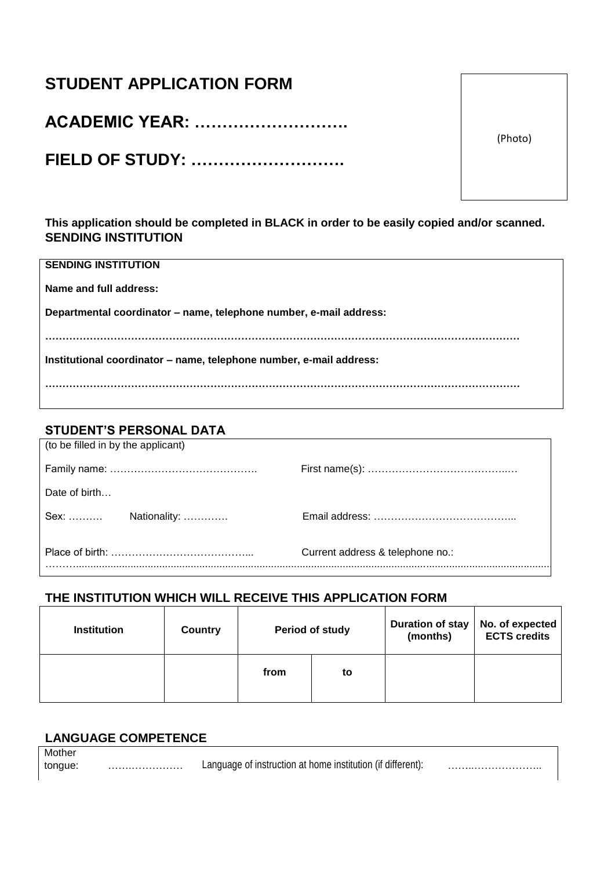# **STUDENT APPLICATION FORM**

**ACADEMIC YEAR: ……………………….**

**FIELD OF STUDY: ……………………….**

**This application should be completed in BLACK in order to be easily copied and/or scanned. SENDING INSTITUTION**

|  | <b>SENDING INSTITUTION</b> |  |
|--|----------------------------|--|
|--|----------------------------|--|

**Name and full address:**

**Departmental coordinator – name, telephone number, e-mail address:**

**…………………………………………………………………………………………………………………………**

**Institutional coordinator – name, telephone number, e-mail address:**

**…………………………………………………………………………………………………………………………**

## **STUDENT'S PERSONAL DATA**

| (to be filled in by the applicant) |  |                                  |  |  |  |
|------------------------------------|--|----------------------------------|--|--|--|
|                                    |  |                                  |  |  |  |
| Date of birth                      |  |                                  |  |  |  |
|                                    |  |                                  |  |  |  |
|                                    |  | Current address & telephone no.: |  |  |  |
|                                    |  |                                  |  |  |  |

### **THE INSTITUTION WHICH WILL RECEIVE THIS APPLICATION FORM**

| <b>Institution</b> | Country | Period of study |    | <b>Duration of stay</b><br>(months) | No. of expected<br><b>ECTS credits</b> |
|--------------------|---------|-----------------|----|-------------------------------------|----------------------------------------|
|                    |         | from            | to |                                     |                                        |

### **LANGUAGE COMPETENCE**

**Mother** tongue: …….…………… Language of instruction at home institution (if different): ……..………………..

(Photo)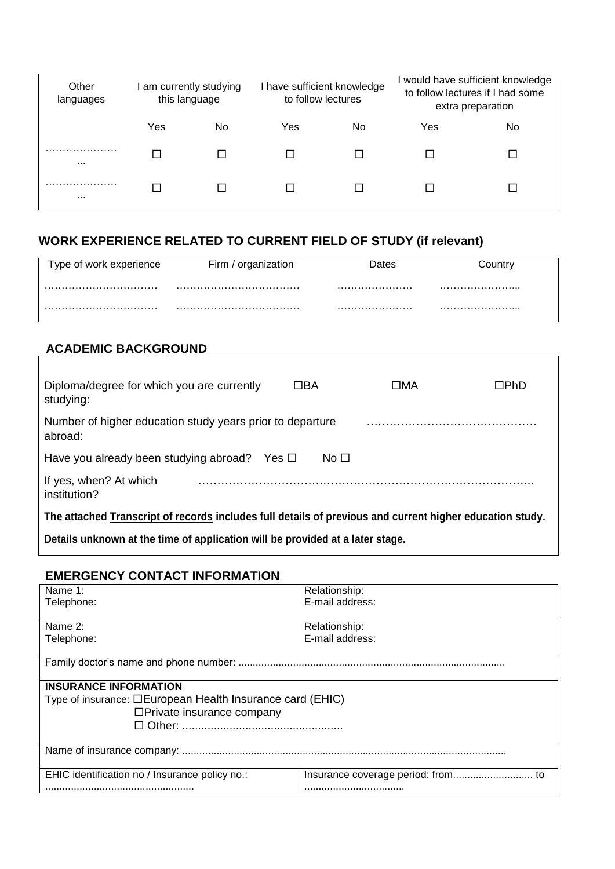| Other<br>languages | this language | I am currently studying | have sufficient knowledge<br>to follow lectures |    |     | would have sufficient knowledge<br>to follow lectures if I had some<br>extra preparation |
|--------------------|---------------|-------------------------|-------------------------------------------------|----|-----|------------------------------------------------------------------------------------------|
|                    | Yes           | No                      | Yes                                             | No | Yes | No                                                                                       |
| $\cdots$           |               |                         |                                                 |    |     |                                                                                          |
| .<br>$\cdots$      |               |                         |                                                 |    |     |                                                                                          |

# **WORK EXPERIENCE RELATED TO CURRENT FIELD OF STUDY (if relevant)**

| Type of work experience | Firm<br>organization | Dates |  |
|-------------------------|----------------------|-------|--|
|                         |                      |       |  |
|                         |                      |       |  |

### **ACADEMIC BACKGROUND**

| Diploma/degree for which you are currently<br>studying:                                                  | ΠBA | $\square$ MA | □PhD |  |
|----------------------------------------------------------------------------------------------------------|-----|--------------|------|--|
| Number of higher education study years prior to departure<br>abroad:                                     |     |              |      |  |
| Have you already been studying abroad?<br>No □<br>Yes □                                                  |     |              |      |  |
| If yes, when? At which<br>institution?                                                                   |     |              |      |  |
| The attached Transcript of records includes full details of previous and current higher education study. |     |              |      |  |
| Detaile unknown at the time of annlication will be neavided at a later stone                             |     |              |      |  |

**Details unknown at the time of application will be provided at a later stage.**

#### **EMERGENCY CONTACT INFORMATION**

| Name 1:                                                          | Relationship:   |  |  |  |
|------------------------------------------------------------------|-----------------|--|--|--|
| Telephone:                                                       | E-mail address: |  |  |  |
|                                                                  |                 |  |  |  |
| Name 2:                                                          | Relationship:   |  |  |  |
| Telephone:                                                       | E-mail address: |  |  |  |
|                                                                  |                 |  |  |  |
|                                                                  |                 |  |  |  |
|                                                                  |                 |  |  |  |
| <b>INSURANCE INFORMATION</b>                                     |                 |  |  |  |
| Type of insurance: <b>DEuropean Health Insurance card (EHIC)</b> |                 |  |  |  |
| $\Box$ Private insurance company                                 |                 |  |  |  |
|                                                                  |                 |  |  |  |
|                                                                  |                 |  |  |  |
|                                                                  |                 |  |  |  |
|                                                                  |                 |  |  |  |
| EHIC identification no / Insurance policy no.:                   |                 |  |  |  |
|                                                                  |                 |  |  |  |